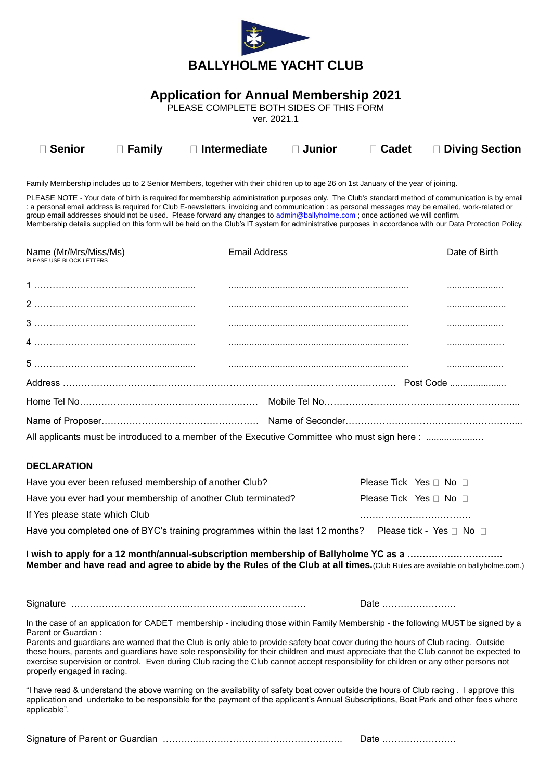

## **Application for Annual Membership 2021**

PLEASE COMPLETE BOTH SIDES OF THIS FORM

ver. 2021.1

| <b>□ Senior</b> | $\square$ Family | $\Box$ Intermediate $\Box$ Junior |  | □ Cadet □ Diving Section |
|-----------------|------------------|-----------------------------------|--|--------------------------|
|                 |                  |                                   |  |                          |

Family Membership includes up to 2 Senior Members, together with their children up to age 26 on 1st January of the year of joining.

PLEASE NOTE - Your date of birth is required for membership administration purposes only. The Club's standard method of communication is by email : a personal email address is required for Club E-newsletters, invoicing and communication : as personal messages may be emailed, work-related or group email addresses should not be used. Please forward any changes to [admin@ballyholme.com](mailto:admin@ballyholme.com); once actioned we will confirm. Membership details supplied on this form will be held on the Club's IT system for administrative purposes in accordance with our Data Protection Policy.

| Name (Mr/Mrs/Miss/Ms)<br>PLEASE USE BLOCK LETTERS                                             | Email Address | Date of Birth |  |  |
|-----------------------------------------------------------------------------------------------|---------------|---------------|--|--|
|                                                                                               |               |               |  |  |
|                                                                                               |               |               |  |  |
|                                                                                               |               |               |  |  |
|                                                                                               |               |               |  |  |
|                                                                                               |               |               |  |  |
|                                                                                               |               |               |  |  |
|                                                                                               |               |               |  |  |
|                                                                                               |               |               |  |  |
| All applicants must be introduced to a member of the Executive Committee who must sign here : |               |               |  |  |

## **DECLARATION**

| Have you ever been refused membership of another Club?                         | Please Tick Yes $\sqcap$ No $\sqcap$ |                          |
|--------------------------------------------------------------------------------|--------------------------------------|--------------------------|
| Have you ever had your membership of another Club terminated?                  | Please Tick Yes □ No □               |                          |
| If Yes please state which Club                                                 |                                      |                          |
| Have you completed one of BYC's training programmes within the last 12 months? |                                      | Please tick - Yes □ No □ |

**I wish to apply for a 12 month/annual-subscription membership of Ballyholme YC as a …………………………. Member and have read and agree to abide by the Rules of the Club at all times.**(Club Rules are available on ballyholme.com.)

Signature ………………………………..………………...……………… Date ……………………

In the case of an application for CADET membership - including those within Family Membership - the following MUST be signed by a Parent or Guardian :

Parents and guardians are warned that the Club is only able to provide safety boat cover during the hours of Club racing. Outside these hours, parents and guardians have sole responsibility for their children and must appreciate that the Club cannot be expected to exercise supervision or control. Even during Club racing the Club cannot accept responsibility for children or any other persons not properly engaged in racing.

"I have read & understand the above warning on the availability of safety boat cover outside the hours of Club racing . I approve this application and undertake to be responsible for the payment of the applicant's Annual Subscriptions, Boat Park and other fees where applicable".

Signature of Parent or Guardian ………..…………………………………….….. Date ……………………